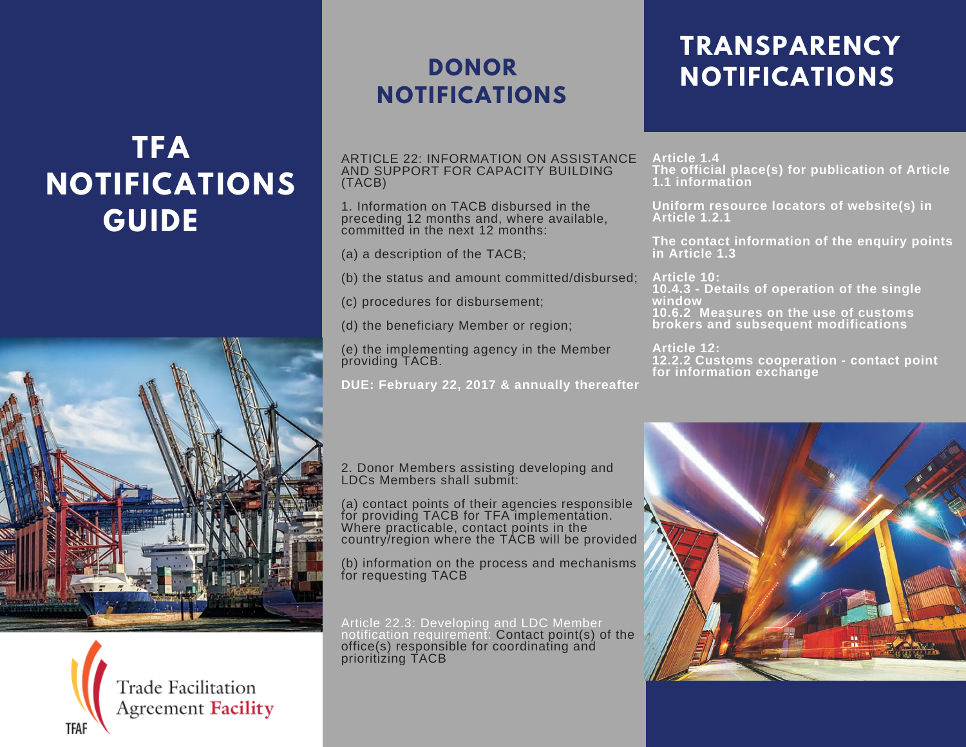# **TFA NOTIFICATIONS GUIDE**





## **DONOR NOTIFICATIONS**

# **TRANSPARENCY NOTIFICATIONS**

ARTICLE 22: INFORMATION ON ASSISTANCE AND SUPPORT FOR CAPACITY BUILDING (TACB)

1. Information on TACB disbursed in the preceding 12 months and, where available, committed in the next 12 months:

(a) a description of the TACB;

(b) the status and amount committed/disbursed;

(c) procedures for disbursement;

(d) the beneficiary Member or region;

(e) the implementing agency in the Member providing TACB.

**DUE: February 22, 2017 & annually thereafter**

**Article 1.4 The official place(s) for publication of Article 1.1 information**

**Uniform resource locators of website(s) in Article 1.2.1**

**The contact information of the enquiry points in Article 1.3**

**Article 10: 10.4.3 - Details of operation of the single window 10.6.2 Measures on the use of customs brokers and subsequent modifications**

**Article 12: 12.2.2 Customs cooperation - contact point for information exchange**

2. Donor Members assisting developing and LDCs Members shall submit:

(a) contact points of their agencies responsible for providing TACB for TFA implementation. Where practicable, contact points in the country/region where the TACB will be provided

(b) information on the process and mechanisms for requesting TACB

Article 22.3: Developing and LDC Member notification requirement: Contact point(s) of the office(s) responsible for coordinating and prioritizing TACB